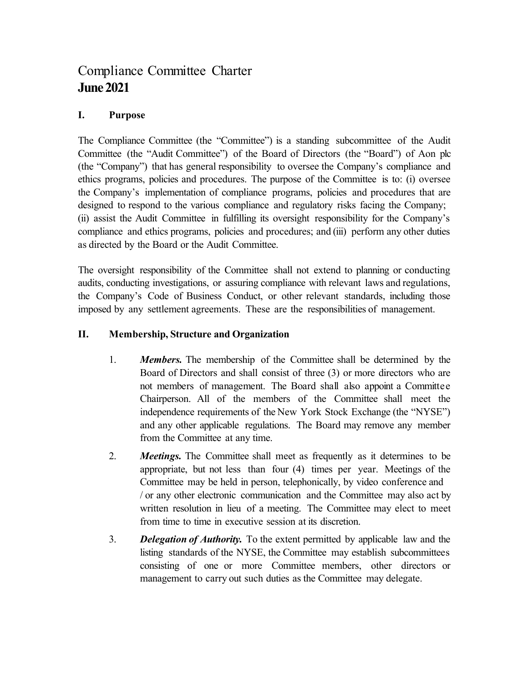## Compliance Committee Charter **June 2021**

## **I. Purpose**

The Compliance Committee (the "Committee") is a standing subcommittee of the Audit Committee (the "Audit Committee") of the Board of Directors (the "Board") of Aon plc (the "Company") that has general responsibility to oversee the Company's compliance and ethics programs, policies and procedures. The purpose of the Committee is to: (i) oversee the Company's implementation of compliance programs, policies and procedures that are designed to respond to the various compliance and regulatory risks facing the Company; (ii) assist the Audit Committee in fulfilling its oversight responsibility for the Company's compliance and ethics programs, policies and procedures; and (iii) perform any other duties as directed by the Board or the Audit Committee.

The oversight responsibility of the Committee shall not extend to planning or conducting audits, conducting investigations, or assuring compliance with relevant laws and regulations, the Company's Code of Business Conduct, or other relevant standards, including those imposed by any settlement agreements. These are the responsibilities of management.

## **II. Membership, Structure and Organization**

- 1. *Members.* The membership of the Committee shall be determined by the Board of Directors and shall consist of three (3) or more directors who are not members of management. The Board shall also appoint a Committee Chairperson. All of the members of the Committee shall meet the independence requirements of the New York Stock Exchange (the "NYSE") and any other applicable regulations. The Board may remove any member from the Committee at any time.
- 2. *Meetings.* The Committee shall meet as frequently as it determines to be appropriate, but not less than four (4) times per year. Meetings of the Committee may be held in person, telephonically, by video conference and / or any other electronic communication and the Committee may also act by written resolution in lieu of a meeting. The Committee may elect to meet from time to time in executive session at its discretion.
- 3. *Delegation of Authority.* To the extent permitted by applicable law and the listing standards of the NYSE, the Committee may establish subcommittees consisting of one or more Committee members, other directors or management to carry out such duties as the Committee may delegate.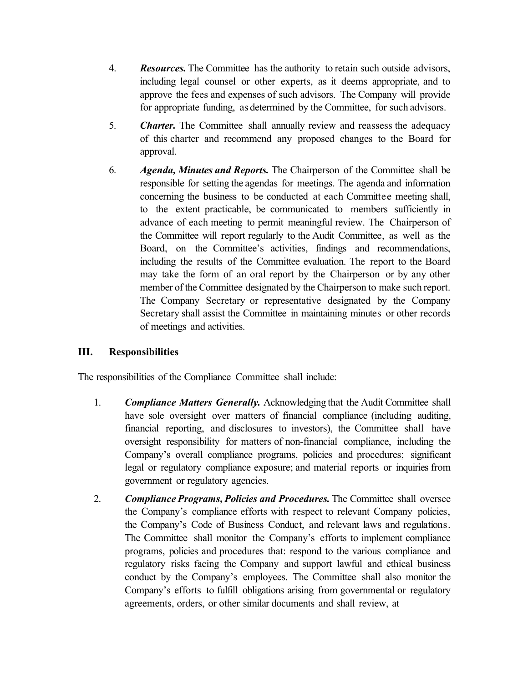- 4. *Resources.* The Committee has the authority to retain such outside advisors, including legal counsel or other experts, as it deems appropriate, and to approve the fees and expenses of such advisors. The Company will provide for appropriate funding, as determined by the Committee, for such advisors.
- 5. *Charter.* The Committee shall annually review and reassess the adequacy of this charter and recommend any proposed changes to the Board for approval.
- 6. *Agenda, Minutes and Reports.* The Chairperson of the Committee shall be responsible for setting the agendas for meetings. The agenda and information concerning the business to be conducted at each Committee meeting shall, to the extent practicable, be communicated to members sufficiently in advance of each meeting to permit meaningful review. The Chairperson of the Committee will report regularly to the Audit Committee, as well as the Board, on the Committee's activities, findings and recommendations, including the results of the Committee evaluation. The report to the Board may take the form of an oral report by the Chairperson or by any other member of the Committee designated by the Chairperson to make such report. The Company Secretary or representative designated by the Company Secretary shall assist the Committee in maintaining minutes or other records of meetings and activities.

## **III. Responsibilities**

The responsibilities of the Compliance Committee shall include:

- 1. *Compliance Matters Generally.* Acknowledging that the Audit Committee shall have sole oversight over matters of financial compliance (including auditing, financial reporting, and disclosures to investors), the Committee shall have oversight responsibility for matters of non-financial compliance, including the Company's overall compliance programs, policies and procedures; significant legal or regulatory compliance exposure; and material reports or inquiries from government or regulatory agencies.
- 2. *Compliance Programs, Policies and Procedures.* The Committee shall oversee the Company's compliance efforts with respect to relevant Company policies, the Company's Code of Business Conduct, and relevant laws and regulations. The Committee shall monitor the Company's efforts to implement compliance programs, policies and procedures that: respond to the various compliance and regulatory risks facing the Company and support lawful and ethical business conduct by the Company's employees. The Committee shall also monitor the Company's efforts to fulfill obligations arising from governmental or regulatory agreements, orders, or other similar documents and shall review, at